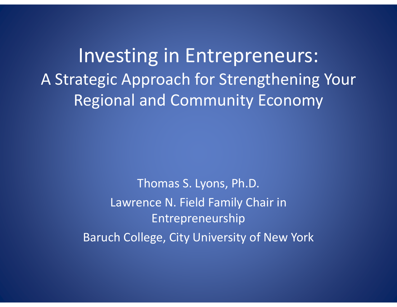Investing in Entrepreneurs: A Strategic Approach for Strengthening Your Regional and Community Economy

> Thomas S. Lyons, Ph.D. Lawrence N. Field Family Chair in Entrepreneurship Baruch College, City University of New York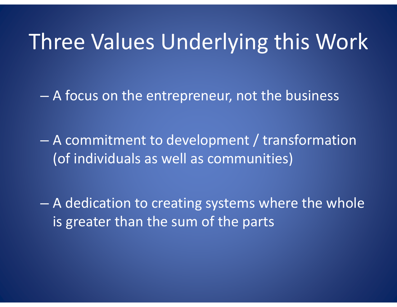#### Three Values Underlying this Work

– A focus on the entrepreneur, not the business

– A commitment to development / transformation ( of individuals as well as communities)

– A dedication to creating systems where the whole is greater than the sum of the parts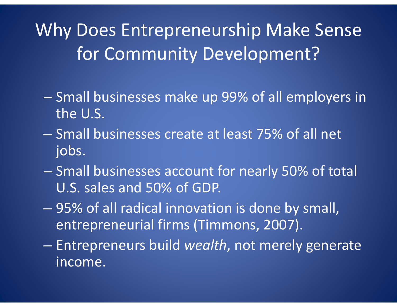Why Does Entrepreneurship Make Sense for Community Development?

- $-$  Small businesses make up 99% of all employers in the U.S.
- Small businesses create at least 75% of all net jobs.
- $-$  Small businesses account for nearly 50% of total U.S. sales and 50% of GDP.
- 95% of all radical innovation is done by small, entrepreneurial firms (Timmons, 2007).
- Entrepreneurs build *wealth*, not merely generate income.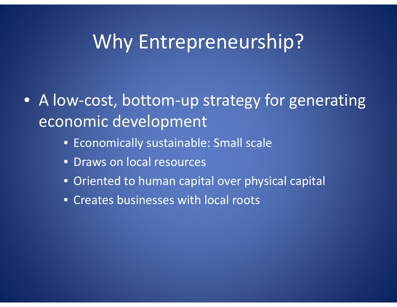#### Why Entrepreneurship?

- A low-cost, bottom-up strategy for generating economic development
	- Economically sustainable: Small scale
	- Draws on local resources
	- Oriented to human capital over physical capital
	- Creates businesses with local roots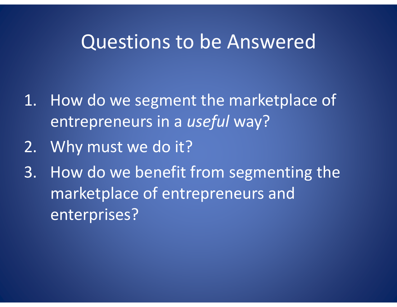#### Questions to be Answered

- 1. How do we segment the marketplace of entrepreneurs in a *useful* way?
- 2. Why must we do it?
- 3. How do we benefit from segmenting the marketplace of entrepreneurs and enterprises?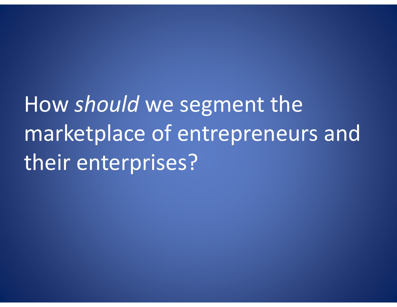How *should* we segment the marketplace of entrepreneurs and their enterprises?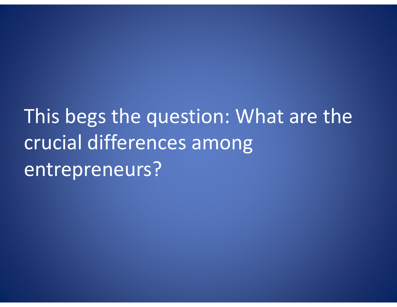## This begs the question: What are the crucial differences among entrepreneurs?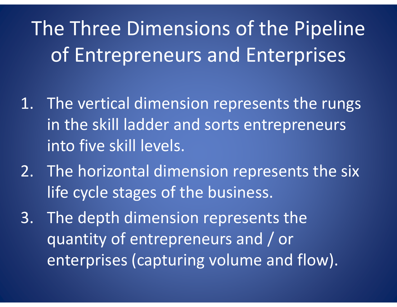## The Three Dimensions of the Pipeline of Entrepreneurs and Enterprises

- 1. The vertical dimension represents the rungs in the skill ladder and sorts entrepreneurs into five skill levels.
- 2. The horizontal dimension represents the six life cycle stages of the business.
- 3. The depth dimension represents the quantity of entrepreneurs and / or enterprises (capturing volume and flow).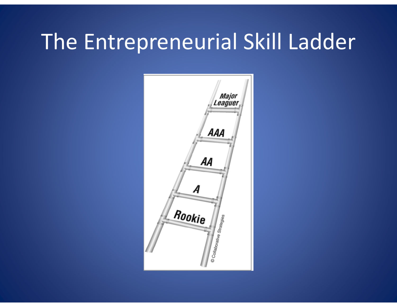### The Entrepreneurial Skill Ladder

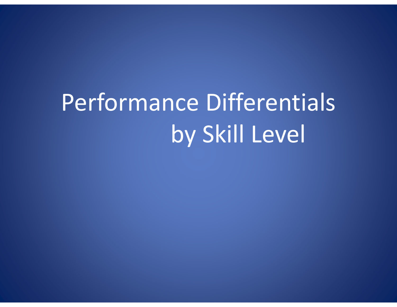# Performance Differentials by Skill Level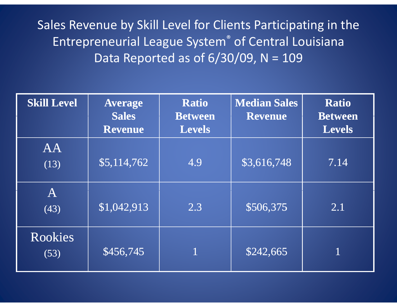Sales Revenue by Skill Level for Clients Participating in the Entrepreneurial League System<sup>®</sup> of Central Louisiana Data Reported as of 6/30/09, N <sup>=</sup> 109

| <b>Skill Level</b>                  | <b>Average</b><br><b>Sales</b><br><b>Revenue</b> | <b>Ratio</b><br><b>Between</b><br><b>Levels</b> | <b>Median Sales</b><br><b>Revenue</b> | <b>Ratio</b><br><b>Between</b><br><b>Levels</b> |
|-------------------------------------|--------------------------------------------------|-------------------------------------------------|---------------------------------------|-------------------------------------------------|
| AA<br>(13)                          | \$5,114,762                                      | 4.9                                             | \$3,616,748                           | 7.14                                            |
| $\bf A$<br>(43)                     | \$1,042,913                                      | 2.3                                             | \$506,375                             | 2.1                                             |
| <b>Rookies</b><br>\$456,745<br>(53) |                                                  |                                                 | \$242,665                             |                                                 |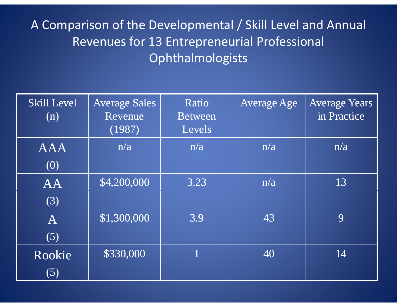A Comparison of the Developmental / Skill Level and Annual Revenues for 13 Entrepreneurial Professional Ophthalmologists

| Skill Level<br>(n) | Average Sales<br>Revenue<br>(1987) | Ratio<br><b>Between</b><br>Levels | Average Age | <b>Average Years</b><br>in Practice |
|--------------------|------------------------------------|-----------------------------------|-------------|-------------------------------------|
| <b>AAA</b><br>(0)  | n/a                                | n/a                               | n/a         | n/a                                 |
| AA<br>(3)          | \$4,200,000                        | 3.23                              | n/a         | 13                                  |
| $\bf{A}$<br>(5)    | $\overline{\$1,300,000}$           | 3.9                               | 43          | 9                                   |
| Rookie<br>(5)      | \$330,000                          |                                   | 40          | 14                                  |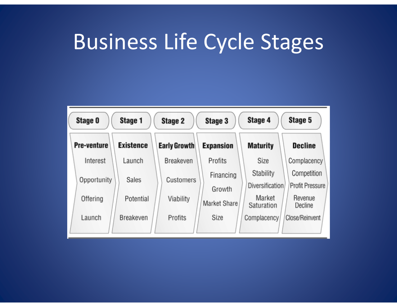#### Business Life Cycle Stages

| Stage 0<br>Stage 1 |                  | Stage 2             | Stage 3             | Stage 4                      | Stage 5                               |  |
|--------------------|------------------|---------------------|---------------------|------------------------------|---------------------------------------|--|
| <b>Pre-venture</b> | <b>Existence</b> | <b>Early Growth</b> | <b>Expansion</b>    | <b>Maturity</b>              | <b>Decline</b>                        |  |
| Interest           | Launch           | <b>Breakeven</b>    | Profits             | Size                         | Complacency                           |  |
| Opportunity        | <b>Sales</b>     | Customers           | Financing<br>Growth | Stability<br>Diversification | Competition<br><b>Profit Pressure</b> |  |
| Offering           | Potential        | Viability           | Market Share        | Market<br>Saturation         | Revenue<br>Decline                    |  |
| Launch             | Breakeven        | Profits             | Size                | Complacency                  | Close/Reinvent                        |  |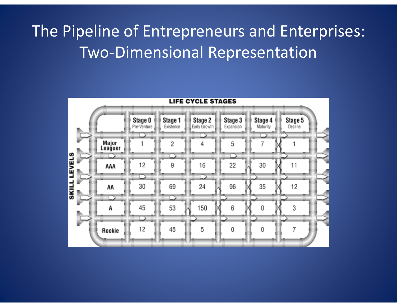#### The Pipeline of Entrepreneurs and Enterprises: Two‐Dimensional Representation

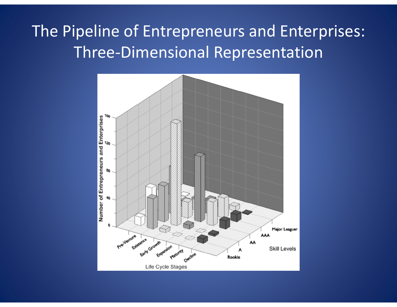#### The Pipeline of Entrepreneurs and Enterprises: Three‐Dimensional Representation

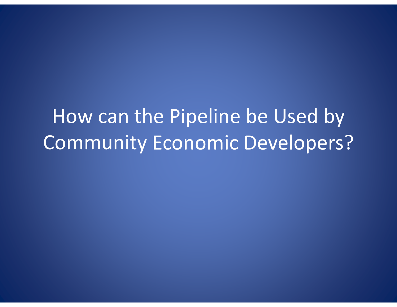### How can the Pipeline be Used by Community Economic Developers?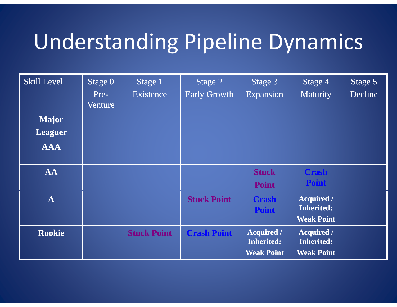### Understanding Pipeline Dynamics

| <b>Skill Level</b>      | Stage 0         | Stage 1            | Stage 2             | Stage 3                                                     | Stage 4                                                     | Stage 5 |
|-------------------------|-----------------|--------------------|---------------------|-------------------------------------------------------------|-------------------------------------------------------------|---------|
|                         | Pre-<br>Venture | Existence          | <b>Early Growth</b> | Expansion                                                   | <b>Maturity</b>                                             | Decline |
| <b>Major</b>            |                 |                    |                     |                                                             |                                                             |         |
| <b>Leaguer</b>          |                 |                    |                     |                                                             |                                                             |         |
| <b>AAA</b>              |                 |                    |                     |                                                             |                                                             |         |
| <b>AA</b>               |                 |                    |                     | <b>Stuck</b><br><b>Point</b>                                | <b>Crash</b><br><b>Point</b>                                |         |
| $\overline{\mathbf{A}}$ |                 |                    | <b>Stuck Point</b>  | <b>Crash</b><br><b>Point</b>                                | <b>Acquired /</b><br><b>Inherited:</b><br><b>Weak Point</b> |         |
| <b>Rookie</b>           |                 | <b>Stuck Point</b> | <b>Crash Point</b>  | <b>Acquired /</b><br><b>Inherited:</b><br><b>Weak Point</b> | <b>Acquired /</b><br><b>Inherited:</b><br><b>Weak Point</b> |         |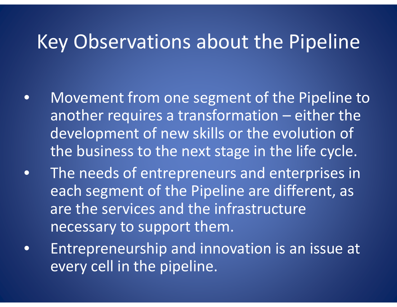#### Key Observations about the Pipeline

- $\bullet$  Movement from one segment of the Pipeline to another requires <sup>a</sup> transformation – either the development of new skills or the evolution of the business to the next stage in the life cycle.
- • The needs of entrepreneurs and enterprises in each segment of the Pipeline are different, as are the services and the infrastructure necessary to support them.
- • Entrepreneurship and innovation is an issue at every cell in the pipeline.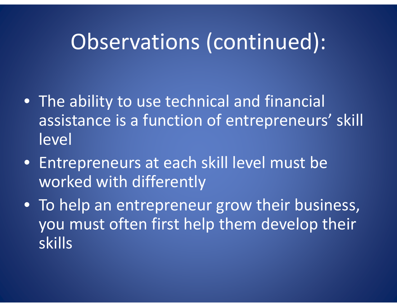### Observations (continued):

- The ability to use technical and financial assistance is a function of entrepreneurs' skill level
- Entrepreneurs at each skill level must be worked with differently
- To help an entrepreneur grow their business, you must often first help them develop their skills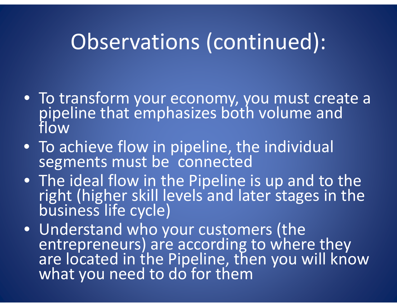### Observations (continued):

- To transform your economy, you must create <sup>a</sup> pipeline that emphasizes both volume and flow
- $\bullet$  To achieve flow in pipeline, the individual segments must be connected
- The ideal flow in the Pipeline is up and to the right (higher skill levels and later stages in the s life cycle)
- Understand whoentrepreneurs) are according to where they are located in the Pipeline, then you will know<br>what you need to do for them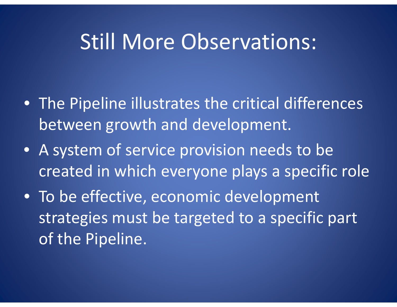#### Still More Observations:

- The Pipeline illustrates the critical differences between growth and development.
- A system of service provision needs to be created in which everyone plays <sup>a</sup> specific role
- $\bullet\,$  To be effective, economic development strategies must be targeted to <sup>a</sup> specific part of the Pipeline.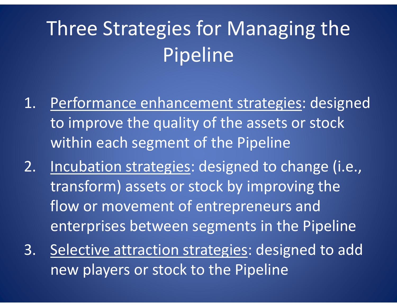### Three Strategies for Managing the Pipeline

- 1. Performance enhancement strategies: designed to improve the quality of the assets or stock within each segment of the Pipeline
- 2. Incubation strategies: designed to change (i.e., transform) assets or stock by improving the flow or movement of entrepreneurs and enterprises between segments in the Pipeline
- 3. Selective attraction strategies: designed to add new players or stock to the Pipeline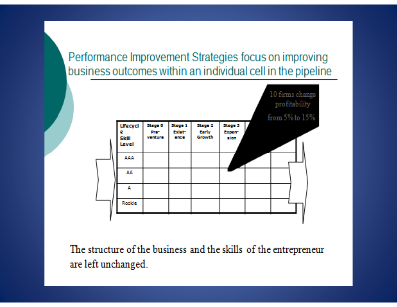Performance Improvement Strategies focus on improving business outcomes within an individual cell in the pipeline



The structure of the business and the skills of the entrepreneur are left unchanged.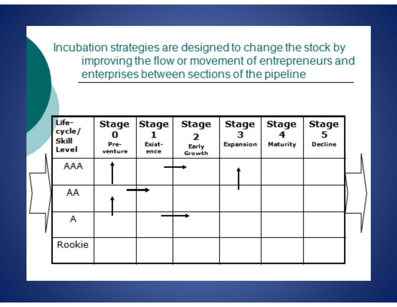Incubation strategies are designed to change the stock by improving the flow or movement of entrepreneurs and enterprises between sections of the pipeline

| Life-<br>cycle/<br>Skill<br><b>Level</b> | <b>Stage</b><br>o<br>Pre-<br>venture | <b>Stage</b><br>Exist-<br>ence | <b>Stage</b><br>2<br>Early<br><b>Growth</b> | <b>Stage</b><br>з<br>Expansion | <b>Stage</b><br>Maturity | <b>Stage</b><br>5.<br><b>Decline</b> |  |
|------------------------------------------|--------------------------------------|--------------------------------|---------------------------------------------|--------------------------------|--------------------------|--------------------------------------|--|
| <b>AAA</b>                               |                                      |                                |                                             |                                |                          |                                      |  |
| AA                                       |                                      |                                |                                             |                                |                          |                                      |  |
| Α                                        |                                      |                                |                                             |                                |                          |                                      |  |
| Rookie                                   |                                      |                                |                                             |                                |                          |                                      |  |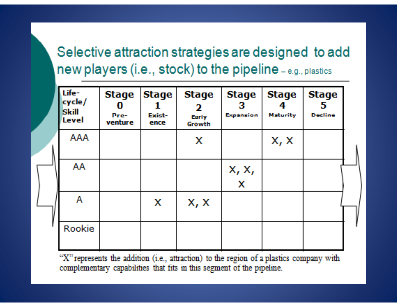#### Selective attraction strategies are designed to add new players (i.e., stock) to the pipeline - e.g., plastics

| Life-<br>cycle/<br><b>Skill</b><br>Level | Stage<br>o<br>Pre-<br>venture | <b>Stage</b><br>Exist-<br>ence | <b>Stage</b><br>2<br><b>Carly</b><br>Growth | <b>Stage</b><br>з<br>Expansion | <b>Stage</b><br>Maturity | <b>Stage</b><br>5<br><b>Decline</b> |  |
|------------------------------------------|-------------------------------|--------------------------------|---------------------------------------------|--------------------------------|--------------------------|-------------------------------------|--|
| <b>AAA</b>                               |                               |                                | x                                           |                                | x, x                     |                                     |  |
| AA                                       |                               |                                |                                             | $x, x,$<br>$x$                 |                          |                                     |  |
| Α                                        |                               | X                              | X, X                                        |                                |                          |                                     |  |
| Rookie                                   |                               |                                |                                             |                                |                          |                                     |  |

"X" represents the addition (i.e., attraction) to the region of a plastics company with complementary capabilities that tits in this segment of the pipeline.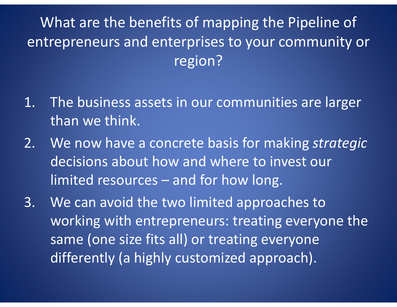What are the benefits of mapping the Pipeline of entrepreneurs and enterprises to your community or region?

- 1. The business assets in our communities are larger than we think.
- 2. We now have <sup>a</sup> concrete basis for making *strategic* decisions about how and where to invest our limited resources – and for how long.
- 3. We can avoid the two limited approaches to working with entrepreneurs: treating everyone the same (one size fits all) or treating everyone differently (a highly customized approach).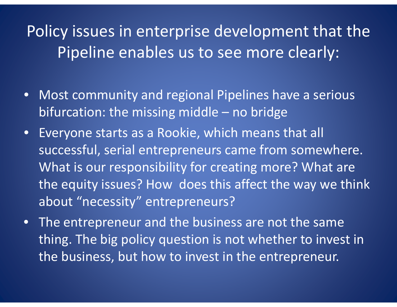Policy issues in enterprise development that the Pipeline enables us to see more clearly:

- Most community and regional Pipelines have <sup>a</sup> serious bifurcation: the missing middle – no bridge
- Everyone starts as <sup>a</sup> Rookie, which means that all successful, serial entrepreneurs came from somewhere. What is our responsibility for creating more? What are the equity issues? How does this affect the way we think about "necessity" entrepreneurs?
- The entrepreneur and the business are not the same thing. The big policy question is not whether to invest in the business, but how to invest in the entrepreneur.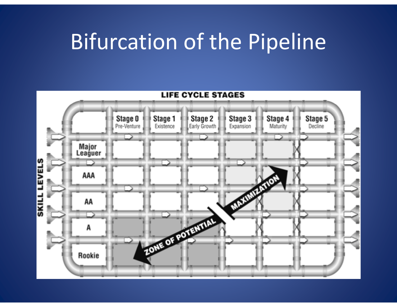### Bifurcation of the Pipeline